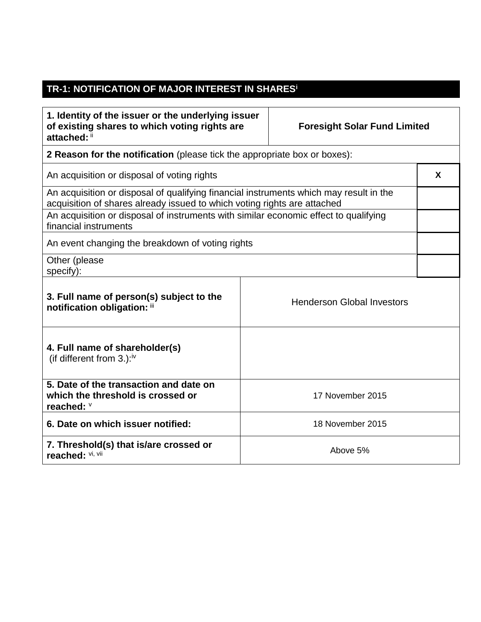## **TR-1: NOTIFICATION OF MAJOR INTEREST IN SHARES<sup>i</sup>**

| 1. Identity of the issuer or the underlying issuer<br>of existing shares to which voting rights are<br>attached: ii                                                | <b>Foresight Solar Fund Limited</b> |                                   |   |  |
|--------------------------------------------------------------------------------------------------------------------------------------------------------------------|-------------------------------------|-----------------------------------|---|--|
| 2 Reason for the notification (please tick the appropriate box or boxes):                                                                                          |                                     |                                   |   |  |
| An acquisition or disposal of voting rights                                                                                                                        |                                     |                                   | X |  |
| An acquisition or disposal of qualifying financial instruments which may result in the<br>acquisition of shares already issued to which voting rights are attached |                                     |                                   |   |  |
| An acquisition or disposal of instruments with similar economic effect to qualifying<br>financial instruments                                                      |                                     |                                   |   |  |
| An event changing the breakdown of voting rights                                                                                                                   |                                     |                                   |   |  |
| Other (please<br>specify):                                                                                                                                         |                                     |                                   |   |  |
| 3. Full name of person(s) subject to the<br>notification obligation: iii                                                                                           |                                     | <b>Henderson Global Investors</b> |   |  |
| 4. Full name of shareholder(s)<br>(if different from $3.$ ): <sup>iv</sup>                                                                                         |                                     |                                   |   |  |
| 5. Date of the transaction and date on<br>which the threshold is crossed or<br>reached: V                                                                          |                                     | 17 November 2015                  |   |  |
| 6. Date on which issuer notified:                                                                                                                                  |                                     | 18 November 2015                  |   |  |
| 7. Threshold(s) that is/are crossed or<br>reached: Vi, Vii                                                                                                         |                                     | Above 5%                          |   |  |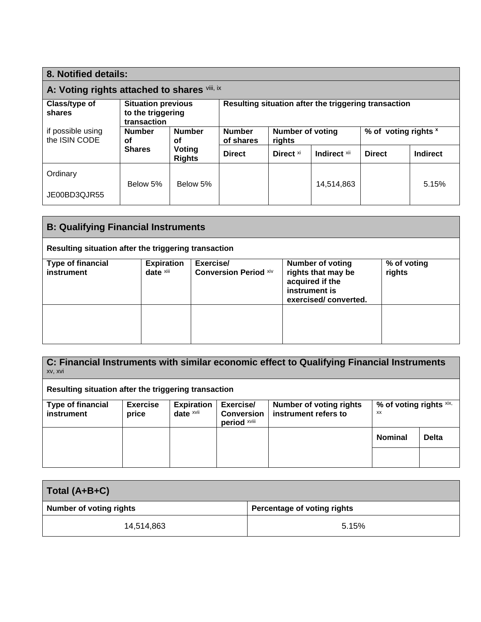| 8. Notified details:                         |                                                               |                            |                                                      |               |                 |                      |       |
|----------------------------------------------|---------------------------------------------------------------|----------------------------|------------------------------------------------------|---------------|-----------------|----------------------|-------|
| A: Voting rights attached to shares viii, ix |                                                               |                            |                                                      |               |                 |                      |       |
| Class/type of<br>shares                      | <b>Situation previous</b><br>to the triggering<br>transaction |                            | Resulting situation after the triggering transaction |               |                 |                      |       |
| if possible using<br>the ISIN CODE           | <b>Number</b><br><b>Number</b><br><b>of</b><br>οf             | <b>Number</b><br>of shares | <b>Number of voting</b><br>rights                    |               |                 | % of voting rights x |       |
| Voting<br><b>Shares</b><br><b>Rights</b>     | <b>Direct</b>                                                 | Direct <sup>xi</sup>       | Indirect xii                                         | <b>Direct</b> | <b>Indirect</b> |                      |       |
| Ordinary                                     |                                                               |                            |                                                      |               |                 |                      |       |
| JE00BD3QJR55                                 | Below 5%                                                      | Below 5%                   |                                                      |               | 14,514,863      |                      | 5.15% |

| <b>B: Qualifying Financial Instruments</b>           |                                |                                           |                                                                                                           |                       |  |
|------------------------------------------------------|--------------------------------|-------------------------------------------|-----------------------------------------------------------------------------------------------------------|-----------------------|--|
| Resulting situation after the triggering transaction |                                |                                           |                                                                                                           |                       |  |
| <b>Type of financial</b><br>instrument               | <b>Expiration</b><br>date xiii | Exercise/<br><b>Conversion Period Xiv</b> | <b>Number of voting</b><br>rights that may be<br>acquired if the<br>instrument is<br>exercised/converted. | % of voting<br>rights |  |
|                                                      |                                |                                           |                                                                                                           |                       |  |

| C: Financial Instruments with similar economic effect to Qualifying Financial Instruments<br>xv, xvi |                 |                   |                                   |                                |                         |              |
|------------------------------------------------------------------------------------------------------|-----------------|-------------------|-----------------------------------|--------------------------------|-------------------------|--------------|
| Resulting situation after the triggering transaction                                                 |                 |                   |                                   |                                |                         |              |
| <b>Type of financial</b>                                                                             | <b>Exercise</b> | <b>Expiration</b> | Exercise/                         | <b>Number of voting rights</b> | % of voting rights xix, |              |
| instrument                                                                                           | price           | date xvii         | <b>Conversion</b><br>period xviii | instrument refers to           | XX                      |              |
|                                                                                                      |                 |                   |                                   |                                | <b>Nominal</b>          | <b>Delta</b> |
|                                                                                                      |                 |                   |                                   |                                |                         |              |

| Total (A+B+C)                  |                             |  |  |  |
|--------------------------------|-----------------------------|--|--|--|
| <b>Number of voting rights</b> | Percentage of voting rights |  |  |  |
| 14,514,863                     | 5.15%                       |  |  |  |